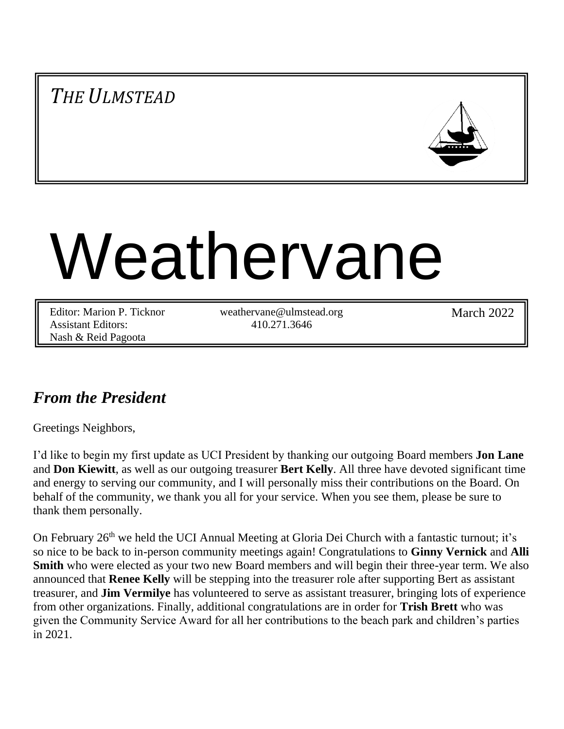*THE ULMSTEAD*



# Weathervane

Editor: Marion P. Ticknor Assistant Editors: Nash & Reid Pagoota

weathervane@ulmstead.org 410.271.3646

March 2022

# *From the President*

Greetings Neighbors,

I'd like to begin my first update as UCI President by thanking our outgoing Board members **Jon Lane** and **Don Kiewitt**, as well as our outgoing treasurer **Bert Kelly**. All three have devoted significant time and energy to serving our community, and I will personally miss their contributions on the Board. On behalf of the community, we thank you all for your service. When you see them, please be sure to thank them personally.

On February 26<sup>th</sup> we held the UCI Annual Meeting at Gloria Dei Church with a fantastic turnout; it's so nice to be back to in-person community meetings again! Congratulations to **Ginny Vernick** and **Alli Smith** who were elected as your two new Board members and will begin their three-year term. We also announced that **Renee Kelly** will be stepping into the treasurer role after supporting Bert as assistant treasurer, and **Jim Vermilye** has volunteered to serve as assistant treasurer, bringing lots of experience from other organizations. Finally, additional congratulations are in order for **Trish Brett** who was given the Community Service Award for all her contributions to the beach park and children's parties in 2021.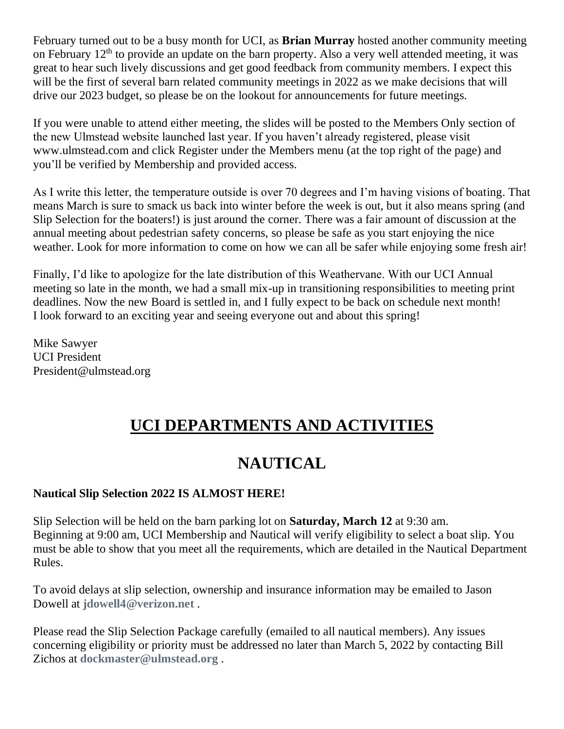February turned out to be a busy month for UCI, as **Brian Murray** hosted another community meeting on February  $12<sup>th</sup>$  to provide an update on the barn property. Also a very well attended meeting, it was great to hear such lively discussions and get good feedback from community members. I expect this will be the first of several barn related community meetings in 2022 as we make decisions that will drive our 2023 budget, so please be on the lookout for announcements for future meetings.

If you were unable to attend either meeting, the slides will be posted to the Members Only section of the new Ulmstead website launched last year. If you haven't already registered, please visit www.ulmstead.com and click Register under the Members menu (at the top right of the page) and you'll be verified by Membership and provided access.

As I write this letter, the temperature outside is over 70 degrees and I'm having visions of boating. That means March is sure to smack us back into winter before the week is out, but it also means spring (and Slip Selection for the boaters!) is just around the corner. There was a fair amount of discussion at the annual meeting about pedestrian safety concerns, so please be safe as you start enjoying the nice weather. Look for more information to come on how we can all be safer while enjoying some fresh air!

Finally, I'd like to apologize for the late distribution of this Weathervane. With our UCI Annual meeting so late in the month, we had a small mix-up in transitioning responsibilities to meeting print deadlines. Now the new Board is settled in, and I fully expect to be back on schedule next month! I look forward to an exciting year and seeing everyone out and about this spring!

Mike Sawyer UCI President President@ulmstead.org

# **UCI DEPARTMENTS AND ACTIVITIES**

# **NAUTICAL**

## **Nautical Slip Selection 2022 IS ALMOST HERE!**

Slip Selection will be held on the barn parking lot on **Saturday, March 12** at 9:30 am. Beginning at 9:00 am, UCI Membership and Nautical will verify eligibility to select a boat slip. You must be able to show that you meet all the requirements, which are detailed in the Nautical Department Rules.

To avoid delays at slip selection, ownership and insurance information may be emailed to Jason Dowell at **jdowell4@verizon.net** .

Please read the Slip Selection Package carefully (emailed to all nautical members). Any issues concerning eligibility or priority must be addressed no later than March 5, 2022 by contacting Bill Zichos at **dockmaster@ulmstead.org** .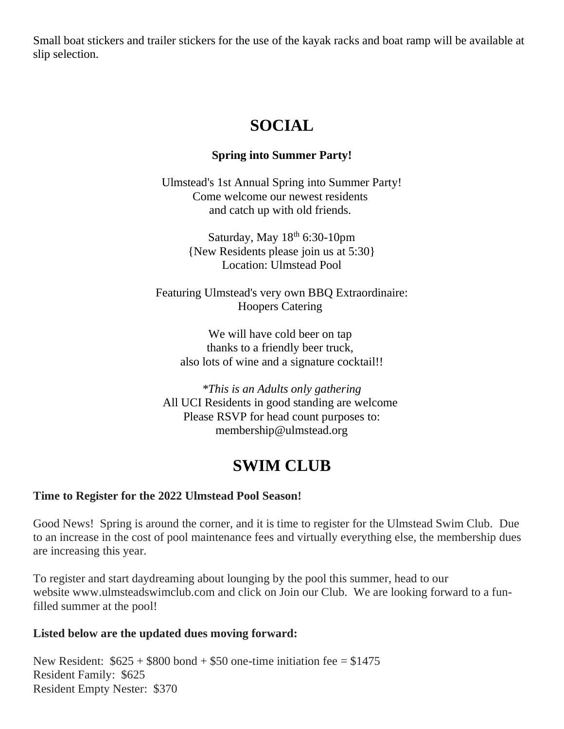Small boat stickers and trailer stickers for the use of the kayak racks and boat ramp will be available at slip selection.

# **SOCIAL**

## **Spring into Summer Party!**

Ulmstead's 1st Annual Spring into Summer Party! Come welcome our newest residents and catch up with old friends.

> Saturday, May  $18<sup>th</sup>$  6:30-10pm {New Residents please join us at 5:30} Location: Ulmstead Pool

Featuring Ulmstead's very own BBQ Extraordinaire: Hoopers Catering

We will have cold beer on tap thanks to a friendly beer truck, also lots of wine and a signature cocktail!!

*\*This is an Adults only gathering* All UCI Residents in good standing are welcome Please RSVP for head count purposes to: membership@ulmstead.org

# **SWIM CLUB**

## **Time to Register for the 2022 Ulmstead Pool Season!**

Good News! Spring is around the corner, and it is time to register for the Ulmstead Swim Club. Due to an increase in the cost of pool maintenance fees and virtually everything else, the membership dues are increasing this year.

To register and start daydreaming about lounging by the pool this summer, head to our website www.ulmsteadswimclub.com and click on Join our Club. We are looking forward to a funfilled summer at the pool!

## **Listed below are the updated dues moving forward:**

New Resident:  $$625 + $800$  bond  $+ $50$  one-time initiation fee = \$1475 Resident Family: \$625 Resident Empty Nester: \$370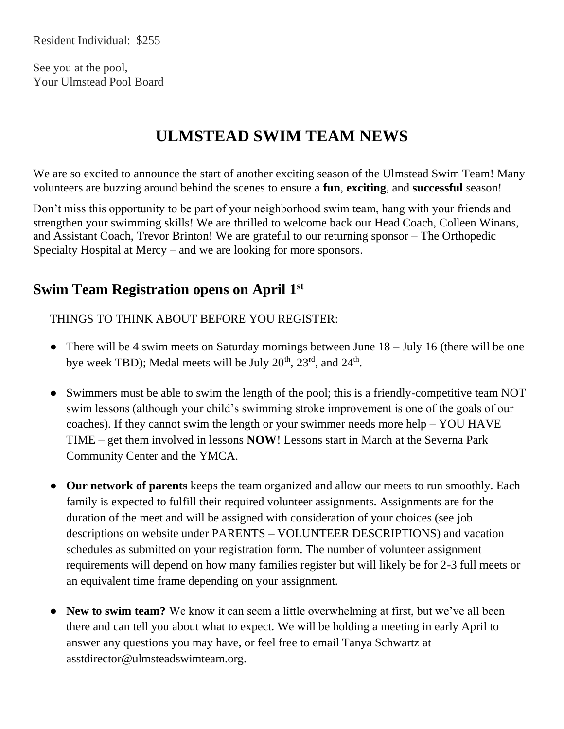See you at the pool, Your Ulmstead Pool Board

# **ULMSTEAD SWIM TEAM NEWS**

We are so excited to announce the start of another exciting season of the Ulmstead Swim Team! Many volunteers are buzzing around behind the scenes to ensure a **fun**, **exciting**, and **successful** season!

Don't miss this opportunity to be part of your neighborhood swim team, hang with your friends and strengthen your swimming skills! We are thrilled to welcome back our Head Coach, Colleen Winans, and Assistant Coach, Trevor Brinton! We are grateful to our returning sponsor – The Orthopedic Specialty Hospital at Mercy – and we are looking for more sponsors.

# **Swim Team Registration opens on April 1st**

THINGS TO THINK ABOUT BEFORE YOU REGISTER:

- There will be 4 swim meets on Saturday mornings between June  $18 -$  July 16 (there will be one bye week TBD); Medal meets will be July  $20^{th}$ ,  $23^{rd}$ , and  $24^{th}$ .
- Swimmers must be able to swim the length of the pool; this is a friendly-competitive team NOT swim lessons (although your child's swimming stroke improvement is one of the goals of our coaches). If they cannot swim the length or your swimmer needs more help – YOU HAVE TIME – get them involved in lessons **NOW**! Lessons start in March at the Severna Park Community Center and the YMCA.
- **Our network of parents** keeps the team organized and allow our meets to run smoothly. Each family is expected to fulfill their required volunteer assignments. Assignments are for the duration of the meet and will be assigned with consideration of your choices (see job descriptions on website under PARENTS – VOLUNTEER DESCRIPTIONS) and vacation schedules as submitted on your registration form. The number of volunteer assignment requirements will depend on how many families register but will likely be for 2-3 full meets or an equivalent time frame depending on your assignment.
- **New to swim team?** We know it can seem a little overwhelming at first, but we've all been there and can tell you about what to expect. We will be holding a meeting in early April to answer any questions you may have, or feel free to email Tanya Schwartz at asstdirector@ulmsteadswimteam.org.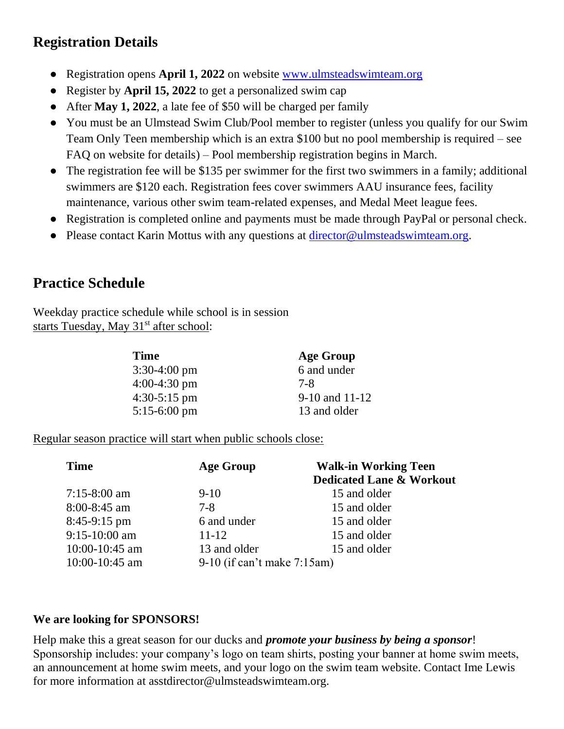# **Registration Details**

- Registration opens **April 1, 2022** on website www.ulmsteadswimteam.org
- Register by **April 15, 2022** to get a personalized swim cap
- After **May 1, 2022**, a late fee of \$50 will be charged per family
- You must be an Ulmstead Swim Club/Pool member to register (unless you qualify for our Swim Team Only Teen membership which is an extra \$100 but no pool membership is required – see FAQ on website for details) – Pool membership registration begins in March.
- The registration fee will be \$135 per swimmer for the first two swimmers in a family; additional swimmers are \$120 each. Registration fees cover swimmers AAU insurance fees, facility maintenance, various other swim team-related expenses, and Medal Meet league fees.
- Registration is completed online and payments must be made through PayPal or personal check.
- Please contact Karin Mottus with any questions at director@ulmsteadswimteam.org.

## **Practice Schedule**

Weekday practice schedule while school is in session starts Tuesday, May  $31<sup>st</sup>$  after school:

| <b>Time</b>            | Age Group          |
|------------------------|--------------------|
| $3:30-4:00 \text{ pm}$ | 6 and under        |
| $4:00-4:30$ pm         | 7-8                |
| $4:30-5:15$ pm         | $9-10$ and $11-12$ |
| $5:15-6:00 \text{ pm}$ | 13 and older       |

Regular season practice will start when public schools close:

| <b>Time</b>        | <b>Age Group</b>              | <b>Walk-in Working Teen</b><br><b>Dedicated Lane &amp; Workout</b> |  |  |
|--------------------|-------------------------------|--------------------------------------------------------------------|--|--|
| $7:15-8:00$ am     | $9-10$                        | 15 and older                                                       |  |  |
| $8:00 - 8:45$ am   | $7-8$                         | 15 and older                                                       |  |  |
| $8:45-9:15$ pm     | 6 and under                   | 15 and older                                                       |  |  |
| 9:15-10:00 am      | $11 - 12$                     | 15 and older                                                       |  |  |
| $10:00 - 10:45$ am | 13 and older                  | 15 and older                                                       |  |  |
| $10:00 - 10:45$ am | $9-10$ (if can't make 7:15am) |                                                                    |  |  |

## **We are looking for SPONSORS!**

Help make this a great season for our ducks and *promote your business by being a sponsor*! Sponsorship includes: your company's logo on team shirts, posting your banner at home swim meets, an announcement at home swim meets, and your logo on the swim team website. Contact Ime Lewis for more information at asstdirector@ulmsteadswimteam.org.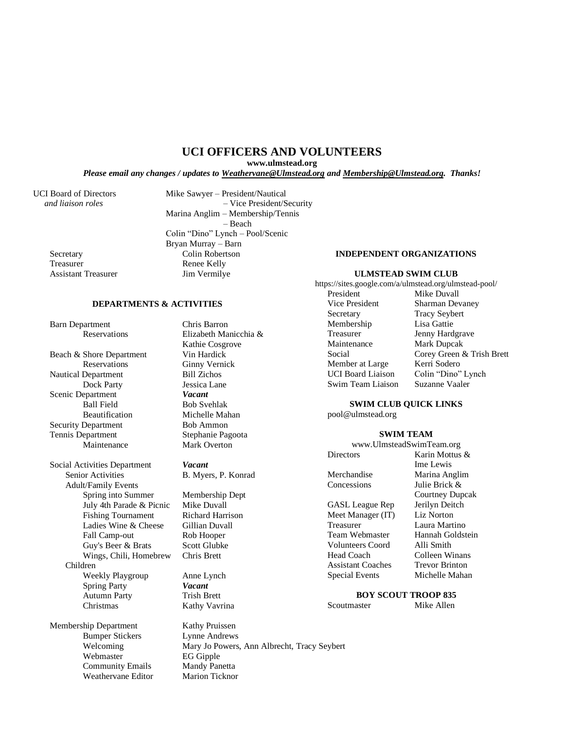### **UCI OFFICERS AND VOLUNTEERS**

**www.ulmstead.org**

*Please email any changes / updates to Weathervane@Ulmstead.org and Membership@Ulmstead.org. Thanks!*

Assistant Treasurer Jim Vermilye

UCI Board of Directors Mike Sawyer – President/Nautical  *and liaison roles* – Vice President/Security Marina Anglim – Membership/Tennis – Beach Colin "Dino" Lynch – Pool/Scenic Bryan Murray – Barn Secretary Colin Robertson<br>Treasurer Renee Kelly Renee Kelly

#### **DEPARTMENTS & ACTIVITIES**

Barn Department Chris Barron<br>Reservations Elizabeth Ma

Beach & Shore Department<br>Reservations Ginny Verni Nautical Department<br>
Dock Party<br>
Jessica Lane Dock Party Scenic Department *Vacant*<br>Ball Field Bob Sve Ball Field<br>Beautification Bob Svehlak<br>Michelle Mal Security Department Bob Ammon Tennis Department Stephanie Pagoota Maintenance Mark Overton

Social Activities Department *Vacant* Senior Activities B. Myers, P. Konrad Adult/Family Events Spring into Summer Membership Dept July 4th Parade & Picnic Mike Duvall Fishing Tournament Richard Harrison Ladies Wine & Cheese Gillian Duvall Fall Camp-out Rob Hooper Guy's Beer & Brats Scott Glubke Wings, Chili, Homebrew Chris Brett Children Weekly Playgroup Anne Lynch Spring Party *Vacant* Autumn Party Trish Brett Christmas Kathy Vavrina

Membership Department Kathy Pruissen Bumper Stickers Lynne Andrews Webmaster EG Gipple Community Emails Mandy Panetta Weathervane Editor Marion Ticknor

Elizabeth Manicchia  $\&$ Kathie Cosgrove **Ginny Vernick** Michelle Mahan

Welcoming Mary Jo Powers, Ann Albrecht, Tracy Seybert

#### **INDEPENDENT ORGANIZATIONS**

#### **ULMSTEAD SWIM CLUB**

https://sites.google.com/a/ulmstead.org/ulmstead-pool/ Mike Duvall

Vice President Sharman Devaney Secretary Tracy Seybert<br>Membership Lisa Gattie Membership Treasurer Jenny Hardgrave<br>
Maintenance Mark Duncak Mark Dupcak Social Corey Green & Trish Brett<br>
Member at Large Kerri Sodero Member at Large UCI Board Liaison Colin "Dino" Lynch Swim Team Liaison Suzanne Vaaler

#### **SWIM CLUB QUICK LINKS**

pool@ulmstead.org

#### **SWIM TEAM** www.UlmsteadSwimTeam.org

|                          | $\mathbf{w}$ w $\mathbf{w}$ . Onlingtonally while a callition $\boldsymbol{\xi}$ |  |  |
|--------------------------|----------------------------------------------------------------------------------|--|--|
| Directors                | Karin Mottus &                                                                   |  |  |
|                          | Ime Lewis                                                                        |  |  |
| Merchandise              | Marina Anglim                                                                    |  |  |
| Concessions              | Julie Brick &                                                                    |  |  |
|                          | Courtney Dupcak                                                                  |  |  |
| GASL League Rep          | Jerilyn Deitch                                                                   |  |  |
| Meet Manager (IT)        | <b>Liz Norton</b>                                                                |  |  |
| Treasurer                | Laura Martino                                                                    |  |  |
| Team Webmaster           | Hannah Goldstein                                                                 |  |  |
| Volunteers Coord         | Alli Smith                                                                       |  |  |
| Head Coach               | Colleen Winans                                                                   |  |  |
| <b>Assistant Coaches</b> | <b>Trevor Brinton</b>                                                            |  |  |
| <b>Special Events</b>    | Michelle Mahan                                                                   |  |  |
|                          |                                                                                  |  |  |

## **BOY SCOUT TROOP 835**

Scoutmaster Mike Allen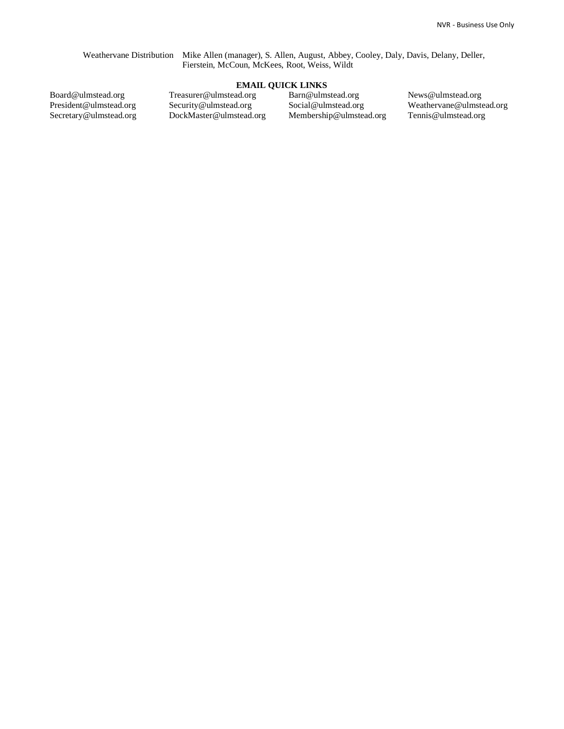Weathervane Distribution Mike Allen (manager), S. Allen, August, Abbey, Cooley, Daly, Davis, Delany, Deller, Fierstein, McCoun, McKees, Root, Weiss, Wildt

#### **EMAIL QUICK LINKS**

Board@ulmstead.org President@ulmstead.org Secretary@ulmstead.org Treasurer@ulmstead.org Security@ulmstead.org DockMaster@ulmstead.org Barn@ulmstead.org Social@ulmstead.org Membership@ulmstead.org

News@ulmstead.org Weathervane@ulmstead.org Tennis@ulmstead.org